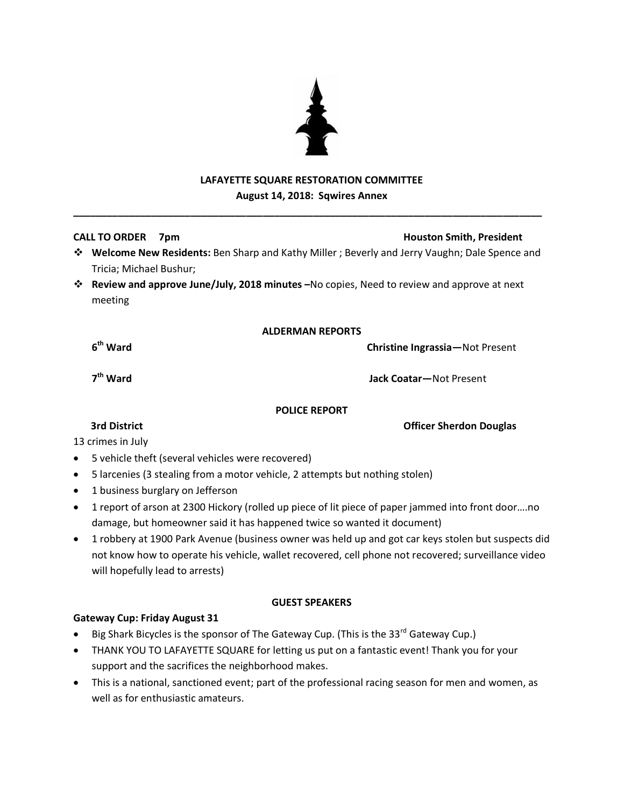# **LAFAYETTE SQUARE RESTORATION COMMITTEE August 14, 2018: Sqwires Annex**

**\_\_\_\_\_\_\_\_\_\_\_\_\_\_\_\_\_\_\_\_\_\_\_\_\_\_\_\_\_\_\_\_\_\_\_\_\_\_\_\_\_\_\_\_\_\_\_\_\_\_\_\_\_\_\_\_\_\_\_\_\_\_\_\_\_\_\_\_\_\_\_\_\_\_\_\_\_\_\_\_\_\_\_\_**

### **CALL TO ORDER 7pm Houston Smith, President**

- **Welcome New Residents:** Ben Sharp and Kathy Miller ; Beverly and Jerry Vaughn; Dale Spence and Tricia; Michael Bushur;
- **Review and approve June/July, 2018 minutes –**No copies, Need to review and approve at next meeting

### **ALDERMAN REPORTS**

**Christine Ingrassia**—Not Present

7<sup>th</sup> Ward

6<sup>th</sup> Ward

**th Ward Jack Coatar—**Not Present

### **POLICE REPORT**

13 crimes in July

- 5 vehicle theft (several vehicles were recovered)
- 5 larcenies (3 stealing from a motor vehicle, 2 attempts but nothing stolen)
- 1 business burglary on Jefferson
- 1 report of arson at 2300 Hickory (rolled up piece of lit piece of paper jammed into front door….no damage, but homeowner said it has happened twice so wanted it document)
- 1 robbery at 1900 Park Avenue (business owner was held up and got car keys stolen but suspects did not know how to operate his vehicle, wallet recovered, cell phone not recovered; surveillance video will hopefully lead to arrests)

### **GUEST SPEAKERS**

### **Gateway Cup: Friday August 31**

- $\bullet$  Big Shark Bicycles is the sponsor of The Gateway Cup. (This is the 33<sup>rd</sup> Gateway Cup.)
- THANK YOU TO LAFAYETTE SQUARE for letting us put on a fantastic event! Thank you for your support and the sacrifices the neighborhood makes.
- This is a national, sanctioned event; part of the professional racing season for men and women, as well as for enthusiastic amateurs.



**3rd District Contract Officer Sherdon Douglas**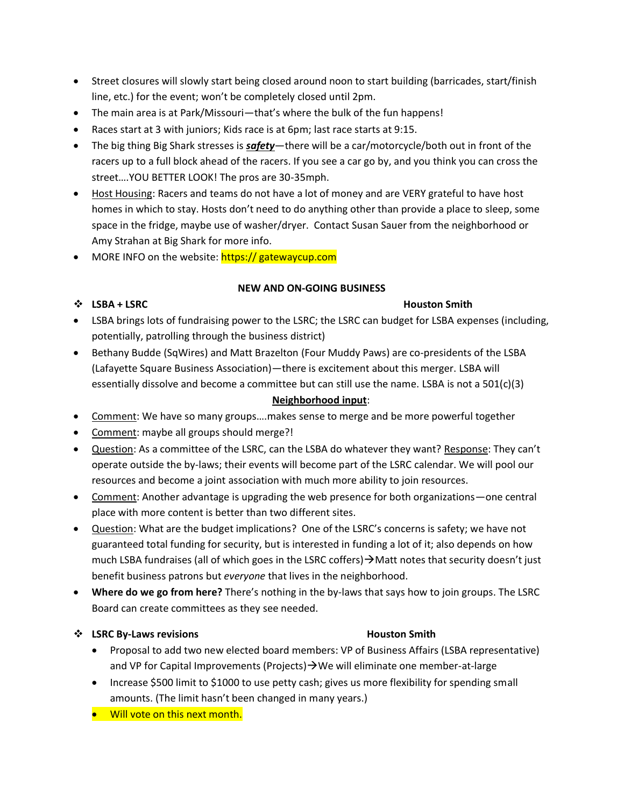- Street closures will slowly start being closed around noon to start building (barricades, start/finish line, etc.) for the event; won't be completely closed until 2pm.
- The main area is at Park/Missouri—that's where the bulk of the fun happens!
- Races start at 3 with juniors; Kids race is at 6pm; last race starts at 9:15.
- The big thing Big Shark stresses is *safety*—there will be a car/motorcycle/both out in front of the racers up to a full block ahead of the racers. If you see a car go by, and you think you can cross the street….YOU BETTER LOOK! The pros are 30-35mph.
- Host Housing: Racers and teams do not have a lot of money and are VERY grateful to have host homes in which to stay. Hosts don't need to do anything other than provide a place to sleep, some space in the fridge, maybe use of washer/dryer. Contact Susan Sauer from the neighborhood or Amy Strahan at Big Shark for more info.
- MORE INFO on the website: https:// gatewaycup.com

### **NEW AND ON-GOING BUSINESS**

# ◆ LSBA + LSRC Houston Smith

- LSBA brings lots of fundraising power to the LSRC; the LSRC can budget for LSBA expenses (including, potentially, patrolling through the business district)
- Bethany Budde (SqWires) and Matt Brazelton (Four Muddy Paws) are co-presidents of the LSBA (Lafayette Square Business Association)—there is excitement about this merger. LSBA will essentially dissolve and become a committee but can still use the name. LSBA is not a 501(c)(3)

# **Neighborhood input**:

- Comment: We have so many groups….makes sense to merge and be more powerful together
- Comment: maybe all groups should merge?!
- Question: As a committee of the LSRC, can the LSBA do whatever they want? Response: They can't operate outside the by-laws; their events will become part of the LSRC calendar. We will pool our resources and become a joint association with much more ability to join resources.
- Comment: Another advantage is upgrading the web presence for both organizations—one central place with more content is better than two different sites.
- Question: What are the budget implications? One of the LSRC's concerns is safety; we have not guaranteed total funding for security, but is interested in funding a lot of it; also depends on how much LSBA fundraises (all of which goes in the LSRC coffers)  $\rightarrow$  Matt notes that security doesn't just benefit business patrons but *everyone* that lives in the neighborhood.
- **Where do we go from here?** There's nothing in the by-laws that says how to join groups. The LSRC Board can create committees as they see needed.

# **<sup>** $\cdot$ **</sup> LSRC By-Laws revisions Houston Smith**

- Proposal to add two new elected board members: VP of Business Affairs (LSBA representative) and VP for Capital Improvements (Projects)  $\rightarrow$  We will eliminate one member-at-large
- Increase \$500 limit to \$1000 to use petty cash; gives us more flexibility for spending small amounts. (The limit hasn't been changed in many years.)
- **•** Will vote on this next month.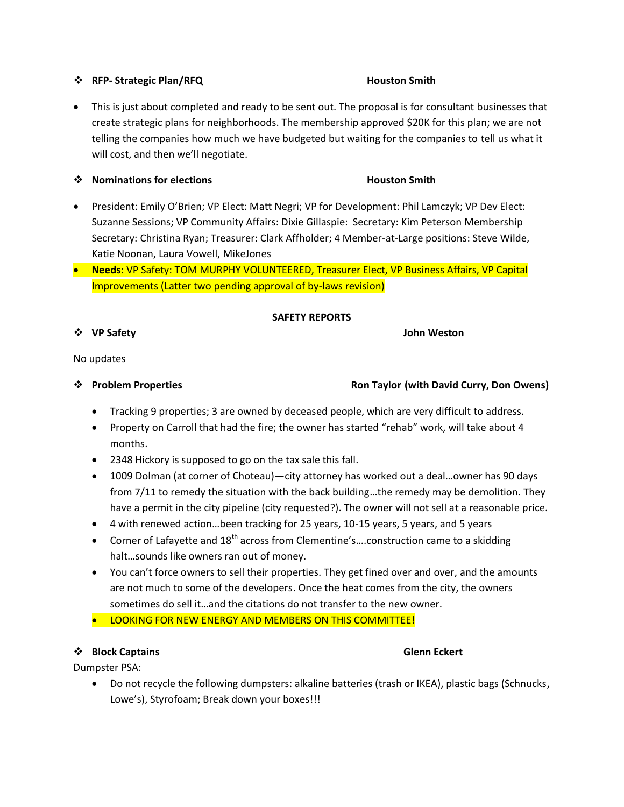### **<sup>❖</sup>** RFP- Strategic Plan/RFQ **Houston Smith**

• This is just about completed and ready to be sent out. The proposal is for consultant businesses that create strategic plans for neighborhoods. The membership approved \$20K for this plan; we are not telling the companies how much we have budgeted but waiting for the companies to tell us what it will cost, and then we'll negotiate.

### **• Nominations for elections Houston Smith Houston Smith**

- President: Emily O'Brien; VP Elect: Matt Negri; VP for Development: Phil Lamczyk; VP Dev Elect: Suzanne Sessions; VP Community Affairs: Dixie Gillaspie: Secretary: Kim Peterson Membership Secretary: Christina Ryan; Treasurer: Clark Affholder; 4 Member-at-Large positions: Steve Wilde, Katie Noonan, Laura Vowell, MikeJones
- **Needs**: VP Safety: TOM MURPHY VOLUNTEERED, Treasurer Elect, VP Business Affairs, VP Capital Improvements (Latter two pending approval of by-laws revision)

### **SAFETY REPORTS**

**VP Safety John Weston**

# No updates

### **Problem Properties Ron Taylor (with David Curry, Don Owens)**

- Tracking 9 properties; 3 are owned by deceased people, which are very difficult to address.
- Property on Carroll that had the fire; the owner has started "rehab" work, will take about 4 months.
- 2348 Hickory is supposed to go on the tax sale this fall.
- 1009 Dolman (at corner of Choteau)—city attorney has worked out a deal…owner has 90 days from 7/11 to remedy the situation with the back building…the remedy may be demolition. They have a permit in the city pipeline (city requested?). The owner will not sell at a reasonable price.
- 4 with renewed action…been tracking for 25 years, 10-15 years, 5 years, and 5 years
- Corner of Lafayette and  $18<sup>th</sup>$  across from Clementine's....construction came to a skidding halt…sounds like owners ran out of money.
- You can't force owners to sell their properties. They get fined over and over, and the amounts are not much to some of the developers. Once the heat comes from the city, the owners sometimes do sell it…and the citations do not transfer to the new owner.
- **.** LOOKING FOR NEW ENERGY AND MEMBERS ON THIS COMMITTEE!

### **◆ Block Captains Glenn Eckert**

Dumpster PSA:

 Do not recycle the following dumpsters: alkaline batteries (trash or IKEA), plastic bags (Schnucks, Lowe's), Styrofoam; Break down your boxes!!!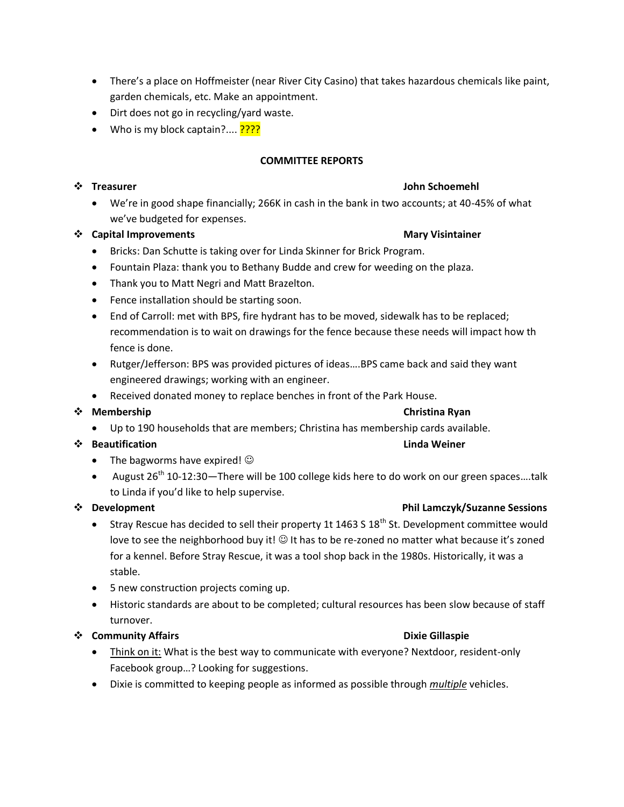- There's a place on Hoffmeister (near River City Casino) that takes hazardous chemicals like paint, garden chemicals, etc. Make an appointment.
- Dirt does not go in recycling/yard waste.
- Who is my block captain?....  $????$

### **COMMITTEE REPORTS**

### ◆ Treasurer John Schoemehl

 We're in good shape financially; 266K in cash in the bank in two accounts; at 40-45% of what we've budgeted for expenses.

### **19. Capital Improvements Mary Visintainer** Mary Visintainer

- Bricks: Dan Schutte is taking over for Linda Skinner for Brick Program.
- Fountain Plaza: thank you to Bethany Budde and crew for weeding on the plaza.
- Thank you to Matt Negri and Matt Brazelton.
- Fence installation should be starting soon.
- End of Carroll: met with BPS, fire hydrant has to be moved, sidewalk has to be replaced; recommendation is to wait on drawings for the fence because these needs will impact how th fence is done.
- Rutger/Jefferson: BPS was provided pictures of ideas….BPS came back and said they want engineered drawings; working with an engineer.
- Received donated money to replace benches in front of the Park House.

### **◆ Membership Christina Ryan**

Up to 190 households that are members; Christina has membership cards available.

### ◆ Beautification Linda Weiner

- The bagworms have expired!  $\odot$
- August  $26^{th}$  10-12:30—There will be 100 college kids here to do work on our green spaces....talk to Linda if you'd like to help supervise.

### **<sup>\*</sup>** Development **Phil Lamczyk/Suzanne Sessions**

- Stray Rescue has decided to sell their property 1t 1463 S 18<sup>th</sup> St. Development committee would love to see the neighborhood buy it!  $\odot$  It has to be re-zoned no matter what because it's zoned for a kennel. Before Stray Rescue, it was a tool shop back in the 1980s. Historically, it was a stable.
- 5 new construction projects coming up.
- Historic standards are about to be completed; cultural resources has been slow because of staff turnover.

# **◆ Community Affairs Dixie Gillaspie**

- Think on it: What is the best way to communicate with everyone? Nextdoor, resident-only Facebook group…? Looking for suggestions.
- Dixie is committed to keeping people as informed as possible through *multiple* vehicles.